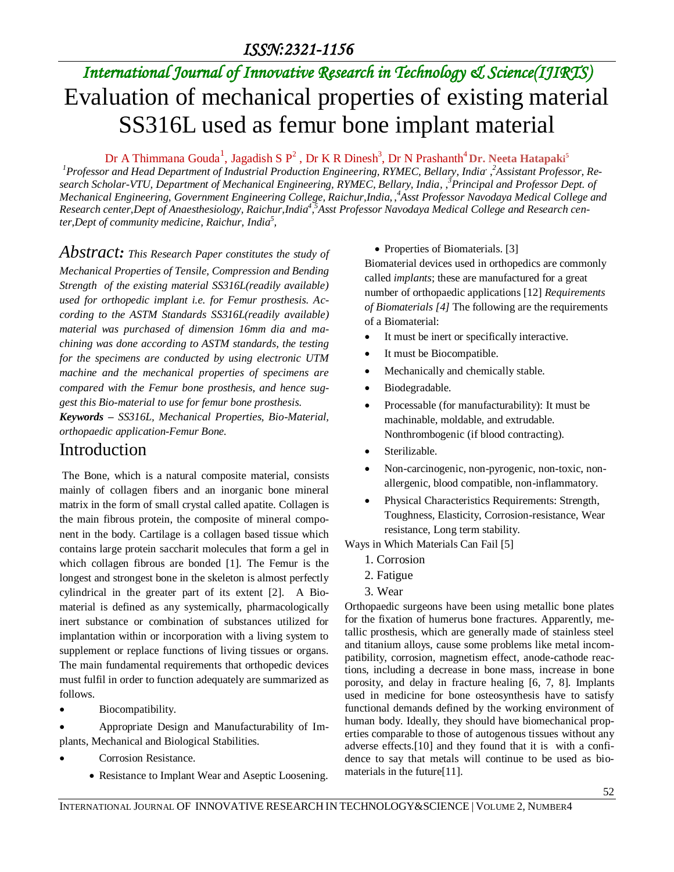# *International Journal of Innovative Research in Technology & Science(IJIRTS)* Evaluation of mechanical properties of existing material SS316L used as femur bone implant material

Dr A Thimmana Gouda<sup>1</sup>, Jagadish S P<sup>2</sup>, Dr K R Dinesh<sup>3</sup>, Dr N Prashanth<sup>4</sup> Dr. Neeta Hatapaki<sup>5</sup>

*<sup>1</sup>Professor and Head Department of Industrial Production Engineering, RYMEC, Bellary, India* , , *<sup>2</sup>Assistant Professor, Re*search Scholar-VTU, Department of Mechanical Engineering, RYMEC, Bellary, India, 3<sup>3</sup>Principal and Professor Dept. of *Mechanical Engineering, Government Engineering College, Raichur,India,* , *<sup>4</sup>Asst Professor Navodaya Medical College and*  Research center, Dept of Anaesthesiology, Raichur, India<sup>4</sup>, Asst Professor Navodaya Medical College and Research cen*ter,Dept of community medicine, Raichur, India<sup>5</sup> ,*

*Abstract: This Research Paper constitutes the study of* 

*Mechanical Properties of Tensile, Compression and Bending Strength of the existing material SS316L(readily available) used for orthopedic implant i.e. for Femur prosthesis. According to the ASTM Standards SS316L(readily available) material was purchased of dimension 16mm dia and machining was done according to ASTM standards, the testing for the specimens are conducted by using electronic UTM machine and the mechanical properties of specimens are compared with the Femur bone prosthesis, and hence suggest this Bio-material to use for femur bone prosthesis.* 

*Keywords – SS316L, Mechanical Properties, Bio-Material, orthopaedic application-Femur Bone.*

## Introduction

The Bone, which is a natural composite material, consists mainly of collagen fibers and an inorganic bone mineral matrix in the form of small crystal called apatite. Collagen is the main fibrous protein, the composite of mineral component in the body. Cartilage is a collagen based tissue which contains large protein saccharit molecules that form a gel in which collagen fibrous are bonded [1]. The Femur is the longest and strongest bone in the skeleton is almost perfectly cylindrical in the greater part of its extent [2]. A Biomaterial is defined as any systemically, pharmacologically inert substance or combination of substances utilized for implantation within or incorporation with a living system to supplement or replace functions of living tissues or organs. The main fundamental requirements that orthopedic devices must fulfil in order to function adequately are summarized as follows.

• Biocompatibility.

 Appropriate Design and Manufacturability of Implants, Mechanical and Biological Stabilities.

- Corrosion Resistance.
	- Resistance to Implant Wear and Aseptic Loosening.

#### • Properties of Biomaterials. [3]

Biomaterial devices used in orthopedics are commonly called *implants*; these are manufactured for a great number of orthopaedic applications [12] *Requirements of Biomaterials [4]* The following are the requirements of a Biomaterial:

- It must be inert or specifically interactive.
- It must be Biocompatible.
- Mechanically and chemically stable.
- Biodegradable.
- Processable (for manufacturability): It must be machinable, moldable, and extrudable. Nonthrombogenic (if blood contracting).
- Sterilizable.
- Non-carcinogenic, non-pyrogenic, non-toxic, nonallergenic, blood compatible, non-inflammatory.
- Physical Characteristics Requirements: Strength, Toughness, Elasticity, Corrosion-resistance, Wear resistance, Long term stability.
- Ways in Which Materials Can Fail [5]
	- 1. Corrosion
	- 2. Fatigue
	- 3. Wear

Orthopaedic surgeons have been using metallic bone plates for the fixation of humerus bone fractures. Apparently, metallic prosthesis, which are generally made of stainless steel and titanium alloys, cause some problems like metal incompatibility, corrosion, magnetism effect, anode-cathode reactions, including a decrease in bone mass, increase in bone porosity, and delay in fracture healing [6, 7, 8]. Implants used in medicine for bone osteosynthesis have to satisfy functional demands defined by the working environment of human body. Ideally, they should have biomechanical properties comparable to those of autogenous tissues without any adverse effects.[10] and they found that it is with a confidence to say that metals will continue to be used as biomaterials in the future[11].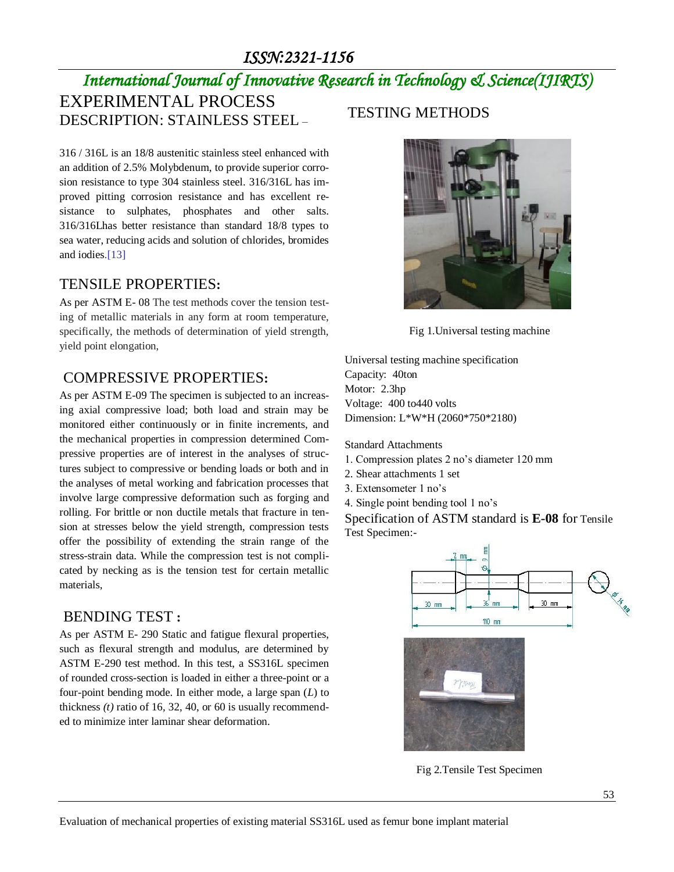# *International Journal of Innovative Research in Technology & Science(IJIRTS)* EXPERIMENTAL PROCESS DESCRIPTION: STAINLESS STEEL –

316 / 316L is an 18/8 austenitic stainless steel enhanced with an addition of 2.5% Molybdenum, to provide superior corrosion resistance to type 304 stainless steel. 316/316L has improved pitting corrosion resistance and has excellent resistance to sulphates, phosphates and other salts. 316/316Lhas better resistance than standard 18/8 types to sea water, reducing acids and solution of chlorides, bromides and iodies.[13]

#### TENSILE PROPERTIES**:**

As per ASTM E- 08 The test methods cover the tension testing of metallic materials in any form at room temperature, specifically, the methods of determination of yield strength, yield point elongation,

#### COMPRESSIVE PROPERTIES**:**

As per ASTM E-09 The specimen is subjected to an increasing axial compressive load; both load and strain may be monitored either continuously or in finite increments, and the mechanical properties in compression determined Compressive properties are of interest in the analyses of structures subject to compressive or bending loads or both and in the analyses of metal working and fabrication processes that involve large compressive deformation such as forging and rolling. For brittle or non ductile metals that fracture in tension at stresses below the yield strength, compression tests offer the possibility of extending the strain range of the stress-strain data. While the compression test is not complicated by necking as is the tension test for certain metallic materials,

#### BENDING TEST **:**

As per ASTM E- 290 Static and fatigue flexural properties, such as flexural strength and modulus, are determined by ASTM E-290 test method. In this test, a SS316L specimen of rounded cross-section is loaded in either a three-point or a four-point bending mode. In either mode, a large span (*L*) to thickness *(t)* ratio of 16, 32, 40, or 60 is usually recommended to minimize inter laminar shear deformation.

## TESTING METHODS



Fig 1.Universal testing machine

Universal testing machine specification Capacity: 40ton Motor: 2.3hp Voltage: 400 to440 volts Dimension: L\*W\*H (2060\*750\*2180)

Standard Attachments

- 1. Compression plates 2 no's diameter 120 mm
- 2. Shear attachments 1 set
- 3. Extensometer 1 no's
- 4. Single point bending tool 1 no's

Specification of ASTM standard is **E-08** for Tensile Test Specimen:-



Fig 2.Tensile Test Specimen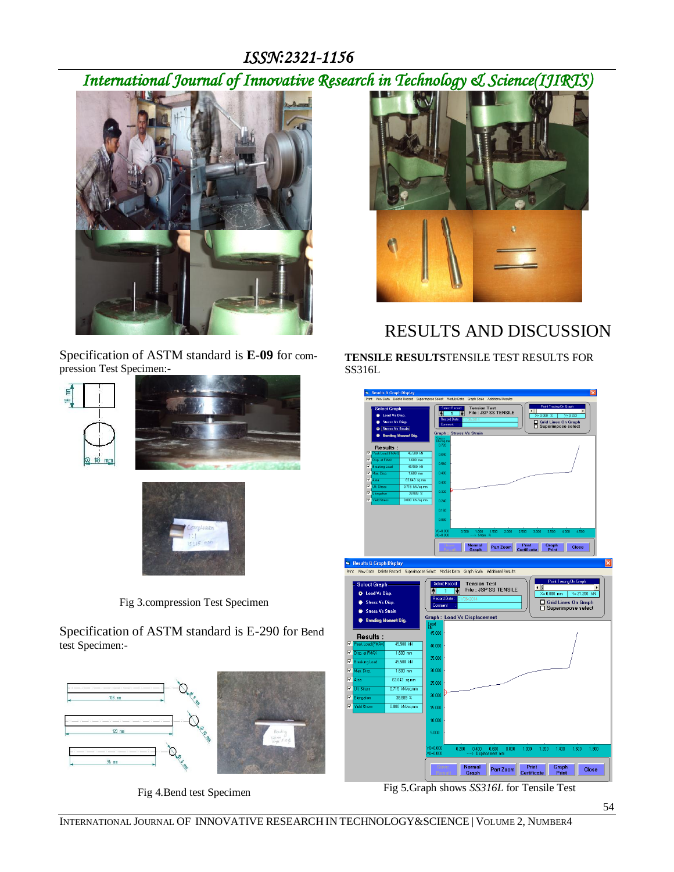*International Journal of Innovative Research in Technology & Science(IJIRTS)*



Specification of ASTM standard is **E-09** for compression Test Specimen:-

# Ę





Fig 3.compression Test Specimen

Specification of ASTM standard is E-290 for Bend test Specimen:-



Fig 4.Bend test Specimen



# RESULTS AND DISCUSSION

**TENSILE RESULTS**TENSILE TEST RESULTS FOR SS316L



Fig 5.Graph shows *SS316L* for Tensile Test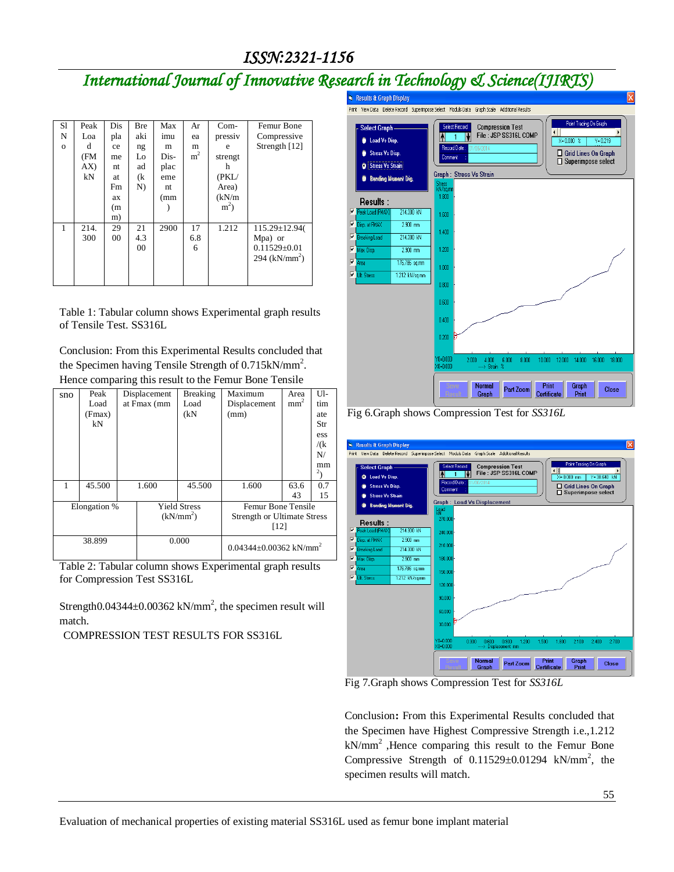# *International Journal of Innovative Research in Technology & Science(IJIRTS)*

| S1           | Peak | Dis | <b>Bre</b>     | Max  | Ar             | $Com-$         | Femur Bone         |
|--------------|------|-----|----------------|------|----------------|----------------|--------------------|
| N            | Loa  | pla | aki            | imu  | ea             | pressiv        | Compressive        |
| $\mathbf{o}$ | d    | ce  | ng             | m    | m              | e              | Strength $[12]$    |
|              | (FM  | me  | Lo             | Dis- | m <sup>2</sup> | strengt        |                    |
|              | AX)  | nt  | ad             | plac |                | h              |                    |
|              | kN   | at  | (k             | eme  |                | (PKL/          |                    |
|              |      | Fm  | N)             | nt   |                | Area)          |                    |
|              |      | ax  |                | (mm  |                | (kN/m)         |                    |
|              |      | (m) |                |      |                | m <sup>2</sup> |                    |
|              |      | m)  |                |      |                |                |                    |
| 1            | 214. | 29  | 21             | 2900 | 17             | 1.212          | $115.29 \pm 12.94$ |
|              | 300  | 00  | 4.3            |      | 6.8            |                | Mpa) or            |
|              |      |     | 0 <sup>0</sup> |      | 6              |                | $0.11529 \pm 0.01$ |
|              |      |     |                |      |                |                | 294 ( $kN/mm^2$ )  |
|              |      |     |                |      |                |                |                    |
|              |      |     |                |      |                |                |                    |

Table 1: Tabular column shows Experimental graph results of Tensile Test. SS316L

Conclusion: From this Experimental Results concluded that the Specimen having Tensile Strength of  $0.715 \text{kN/mm}^2$ . Hence comparing this result to the Femur Bone Tensile

| sno          | Peak<br>Load<br>(Fmax) |  | Displacement<br>at Fmax (mm | <b>Breaking</b><br>Load<br>(kN) | Maximum<br>Displacement<br>(mm)          | Area<br>mm <sup>2</sup> | Ul-<br>tim<br>ate      |
|--------------|------------------------|--|-----------------------------|---------------------------------|------------------------------------------|-------------------------|------------------------|
|              | kN                     |  |                             |                                 |                                          |                         | Str                    |
|              |                        |  |                             |                                 |                                          |                         | ess<br>/(k)            |
|              |                        |  |                             |                                 |                                          |                         | N/                     |
|              |                        |  |                             |                                 |                                          |                         | mm                     |
|              |                        |  |                             |                                 |                                          |                         | $\mathbf{z}_{\lambda}$ |
|              | 45.500                 |  | 1.600                       | 45.500                          | 1.600                                    | 63.6                    | 0.7                    |
|              |                        |  |                             |                                 |                                          | 43                      | 15                     |
| Elongation % |                        |  | <b>Yield Stress</b>         |                                 | Femur Bone Tensile                       |                         |                        |
|              |                        |  | (kN/mm <sup>2</sup> )       |                                 | <b>Strength or Ultimate Stress</b>       |                         |                        |
|              |                        |  |                             |                                 | [12]                                     |                         |                        |
| 38.899       |                        |  | 0.000                       |                                 | $0.04344 \pm 0.00362$ kN/mm <sup>2</sup> |                         |                        |

Table 2: Tabular column shows Experimental graph results for Compression Test SS316L

Strength0.04344 $\pm$ 0.00362 kN/mm<sup>2</sup>, the specimen result will match.

COMPRESSION TEST RESULTS FOR SS316L



Fig 6.Graph shows Compression Test for *SS316L*



Fig 7.Graph shows Compression Test for *SS316L*

Conclusion**:** From this Experimental Results concluded that the Specimen have Highest Compressive Strength i.e.,1.212  $kN/mm<sup>2</sup>$ , Hence comparing this result to the Femur Bone Compressive Strength of  $0.11529 \pm 0.01294$  kN/mm<sup>2</sup>, the specimen results will match.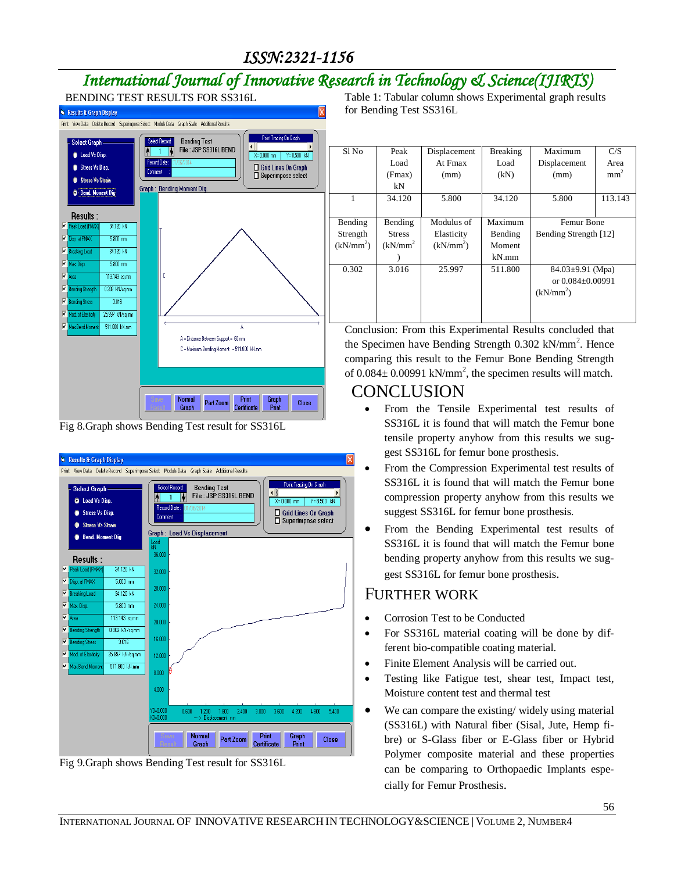# *International Journal of Innovative Research in Technology & Science(IJIRTS)*



Fig 8.Graph shows Bending Test result for SS316L



Fig 9.Graph shows Bending Test result for SS316L

Table 1: Tabular column shows Experimental graph results for Bending Test SS316L

| Sl No                 | Peak            | Displacement          | <b>Breaking</b> | Maximum                | C/S             |
|-----------------------|-----------------|-----------------------|-----------------|------------------------|-----------------|
|                       | Load            | At Fmax               | Load            | Displacement           | Area            |
|                       | (Fmax)          | (mm)                  | (kN)            | (mm)                   | mm <sup>2</sup> |
|                       | kN              |                       |                 |                        |                 |
| 1                     | 34.120          | 5.800                 | 34.120          | 5.800                  | 113.143         |
|                       |                 |                       |                 |                        |                 |
| Bending               | Bending         | Modulus of            | Maximum         | Femur Bone             |                 |
| Strength              | <b>Stress</b>   | Elasticity<br>Bending |                 | Bending Strength [12]  |                 |
| (kN/mm <sup>2</sup> ) | $(kN/mm^2)$     | $(kN/mm^2)$           | Moment          |                        |                 |
|                       |                 |                       | $kN$ .mm        |                        |                 |
| 0.302                 | 3.016<br>25.997 |                       | 511.800         | $84.03 \pm 9.91$ (Mpa) |                 |
|                       |                 |                       |                 | or $0.084 + 0.00991$   |                 |
|                       |                 |                       |                 | (kN/mm <sup>2</sup> )  |                 |
|                       |                 |                       |                 |                        |                 |
|                       |                 |                       |                 |                        |                 |

Conclusion: From this Experimental Results concluded that the Specimen have Bending Strength  $0.302$  kN/mm<sup>2</sup>. Hence comparing this result to the Femur Bone Bending Strength of  $0.084 \pm 0.00991$  kN/mm<sup>2</sup>, the specimen results will match.

## CONCLUSION

- From the Tensile Experimental test results of SS316L it is found that will match the Femur bone tensile property anyhow from this results we suggest SS316L for femur bone prosthesis.
- From the Compression Experimental test results of SS316L it is found that will match the Femur bone compression property anyhow from this results we suggest SS316L for femur bone prosthesis.
- From the Bending Experimental test results of SS316L it is found that will match the Femur bone bending property anyhow from this results we suggest SS316L for femur bone prosthesis.

## FURTHER WORK

- Corrosion Test to be Conducted
- For SS316L material coating will be done by different bio-compatible coating material.
- Finite Element Analysis will be carried out.
- Testing like Fatigue test, shear test, Impact test, Moisture content test and thermal test
- We can compare the existing/ widely using material (SS316L) with Natural fiber (Sisal, Jute, Hemp fibre) or S-Glass fiber or E-Glass fiber or Hybrid Polymer composite material and these properties can be comparing to Orthopaedic Implants especially for Femur Prosthesis.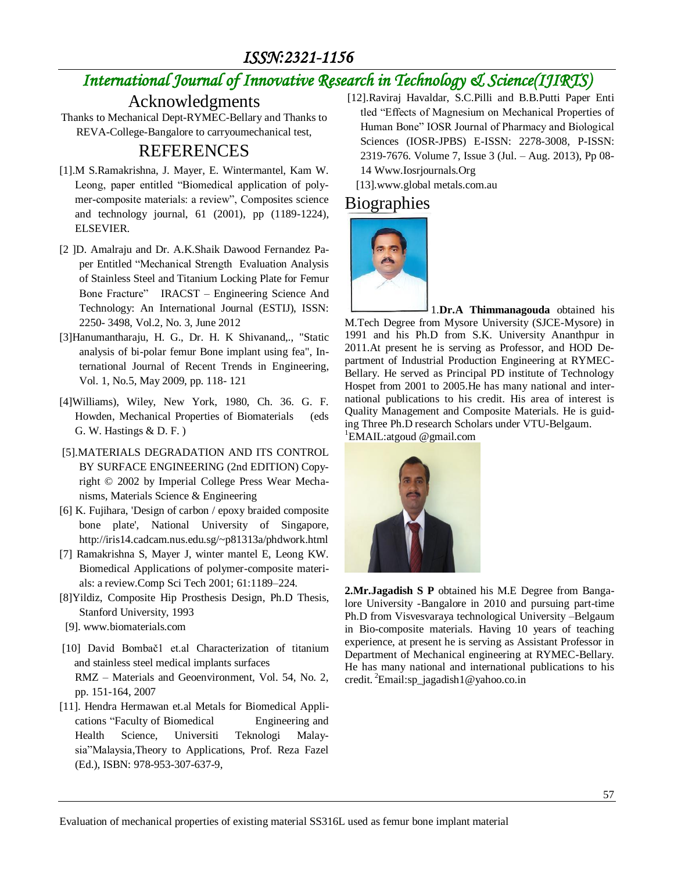# *International Journal of Innovative Research in Technology & Science(IJIRTS)*

Acknowledgments

Thanks to Mechanical Dept-RYMEC-Bellary and Thanks to REVA-College-Bangalore to carryoumechanical test,

## REFERENCES

- [1].M S.Ramakrishna, J. Mayer, E. Wintermantel, Kam W. Leong, paper entitled "Biomedical application of polymer-composite materials: a review", Composites science and technology journal, 61 (2001), pp (1189-1224), ELSEVIER.
- [2 ]D. Amalraju and Dr. A.K.Shaik Dawood Fernandez Paper Entitled "Mechanical Strength Evaluation Analysis of Stainless Steel and Titanium Locking Plate for Femur Bone Fracture" IRACST – Engineering Science And Technology: An International Journal (ESTIJ), ISSN: 2250- 3498, Vol.2, No. 3, June 2012
- [3]Hanumantharaju, H. G., Dr. H. K Shivanand,., "Static analysis of bi-polar femur Bone implant using fea", International Journal of Recent Trends in Engineering, Vol. 1, No.5, May 2009, pp. 118- 121
- [4]Williams), Wiley, New York, 1980, Ch. 36. G. F. Howden, Mechanical Properties of Biomaterials (eds G. W. Hastings & D. F. )
- [5].MATERIALS DEGRADATION AND ITS CONTROL BY SURFACE ENGINEERING (2nd EDITION) Copyright © 2002 by Imperial College Press Wear Mechanisms, Materials Science & Engineering
- [6] K. Fujihara, 'Design of carbon / epoxy braided composite bone plate', National University of Singapore, http://iris14.cadcam.nus.edu.sg/~p81313a/phdwork.html
- [7] Ramakrishna S, Mayer J, winter mantel E, Leong KW. Biomedical Applications of polymer-composite materials: a review.Comp Sci Tech 2001; 61:1189–224.
- [8]Yildiz, Composite Hip Prosthesis Design, Ph.D Thesis, Stanford University, 1993
- [9][. www.biomaterials.com](http://www.biomaterials.com/)
- [10] David Bombač1 et.al Characterization of titanium and stainless steel medical implants surfaces RMZ – Materials and Geoenvironment, Vol. 54, No. 2, pp. 151-164, 2007
- [11]. Hendra Hermawan et.al Metals for Biomedical Applications "Faculty of Biomedical Engineering and Health Science, Universiti Teknologi Malaysia"Malaysia,Theory to Applications, Prof. Reza Fazel (Ed.), ISBN: 978-953-307-637-9,
- [12].Raviraj Havaldar, S.C.Pilli and B.B.Putti Paper Enti tled "Effects of Magnesium on Mechanical Properties of Human Bone" IOSR Journal of Pharmacy and Biological Sciences (IOSR-JPBS) E-ISSN: 2278-3008, P-ISSN: 2319-7676. Volume 7, Issue 3 (Jul. – Aug. 2013), Pp 08- 14 Www.Iosrjournals.Org
	- [13].www.global metals.com.au

## Biographies



1.**Dr.A Thimmanagouda** obtained his M.Tech Degree from Mysore University (SJCE-Mysore) in 1991 and his Ph.D from S.K. University Ananthpur in 2011.At present he is serving as Professor, and HOD Department of Industrial Production Engineering at RYMEC-Bellary. He served as Principal PD institute of Technology Hospet from 2001 to 2005.He has many national and international publications to his credit. His area of interest is Quality Management and Composite Materials. He is guiding Three Ph.D research Scholars under VTU-Belgaum. <sup>1</sup>EMAIL:atgoud @gmail.com



**2.Mr.Jagadish S P** obtained his M.E Degree from Bangalore University -Bangalore in 2010 and pursuing part-time Ph.D from Visvesvaraya technological University –Belgaum in Bio-composite materials. Having 10 years of teaching experience, at present he is serving as Assistant Professor in Department of Mechanical engineering at RYMEC-Bellary. He has many national and international publications to his credit. <sup>2</sup>Email:sp\_jagadish1@yahoo.co.in